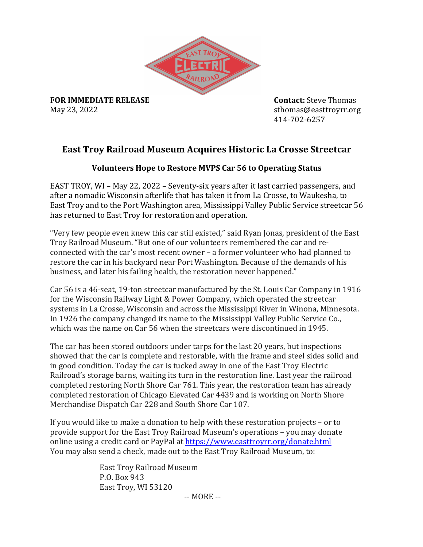

**FOR IMMEDIATE RELEASE THE STEP STEPS Contact:** Steve Thomas May 23, 2022 **sthomas@easttroyrr.org** 

414-702-6257

## **East Troy Railroad Museum Acquires Historic La Crosse Streetcar**

## **Volunteers Hope to Restore MVPS Car 56 to Operating Status**

EAST TROY, WI – May 22, 2022 – Seventy-six years after it last carried passengers, and after a nomadic Wisconsin afterlife that has taken it from La Crosse, to Waukesha, to East Troy and to the Port Washington area, Mississippi Valley Public Service streetcar 56 has returned to East Troy for restoration and operation.

"Very few people even knew this car still existed," said Ryan Jonas, president of the East Troy Railroad Museum. "But one of our volunteers remembered the car and reconnected with the car's most recent owner  $-$  a former volunteer who had planned to restore the car in his backyard near Port Washington. Because of the demands of his business, and later his failing health, the restoration never happened."

Car 56 is a 46-seat, 19-ton streetcar manufactured by the St. Louis Car Company in 1916 for the Wisconsin Railway Light & Power Company, which operated the streetcar systems in La Crosse, Wisconsin and across the Mississippi River in Winona, Minnesota. In 1926 the company changed its name to the Mississippi Valley Public Service Co., which was the name on Car 56 when the streetcars were discontinued in 1945.

The car has been stored outdoors under tarps for the last 20 years, but inspections showed that the car is complete and restorable, with the frame and steel sides solid and in good condition. Today the car is tucked away in one of the East Troy Electric Railroad's storage barns, waiting its turn in the restoration line. Last year the railroad completed restoring North Shore Car 761. This year, the restoration team has already completed restoration of Chicago Elevated Car 4439 and is working on North Shore Merchandise Dispatch Car 228 and South Shore Car 107.

If you would like to make a donation to help with these restoration projects  $-$  or to provide support for the East Troy Railroad Museum's operations - you may donate online using a credit card or PayPal at https://www.easttroyrr.org/donate.html You may also send a check, made out to the East Troy Railroad Museum, to:

> East Troy Railroad Museum P.O. Box 943 East Troy, WI 53120